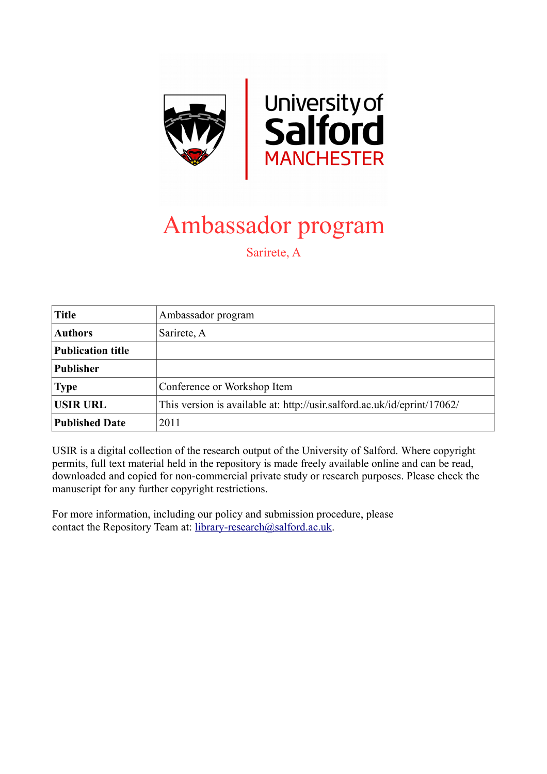

# Ambassador program

Sarirete, A

| <b>Title</b>             | Ambassador program                                                       |
|--------------------------|--------------------------------------------------------------------------|
| <b>Authors</b>           | Sarirete, A                                                              |
| <b>Publication title</b> |                                                                          |
| <b>Publisher</b>         |                                                                          |
| <b>Type</b>              | Conference or Workshop Item                                              |
| <b>USIR URL</b>          | This version is available at: http://usir.salford.ac.uk/id/eprint/17062/ |
| <b>Published Date</b>    | 2011                                                                     |

USIR is a digital collection of the research output of the University of Salford. Where copyright permits, full text material held in the repository is made freely available online and can be read, downloaded and copied for non-commercial private study or research purposes. Please check the manuscript for any further copyright restrictions.

For more information, including our policy and submission procedure, please contact the Repository Team at: [library-research@salford.ac.uk.](mailto:library-research@salford.ac.uk)